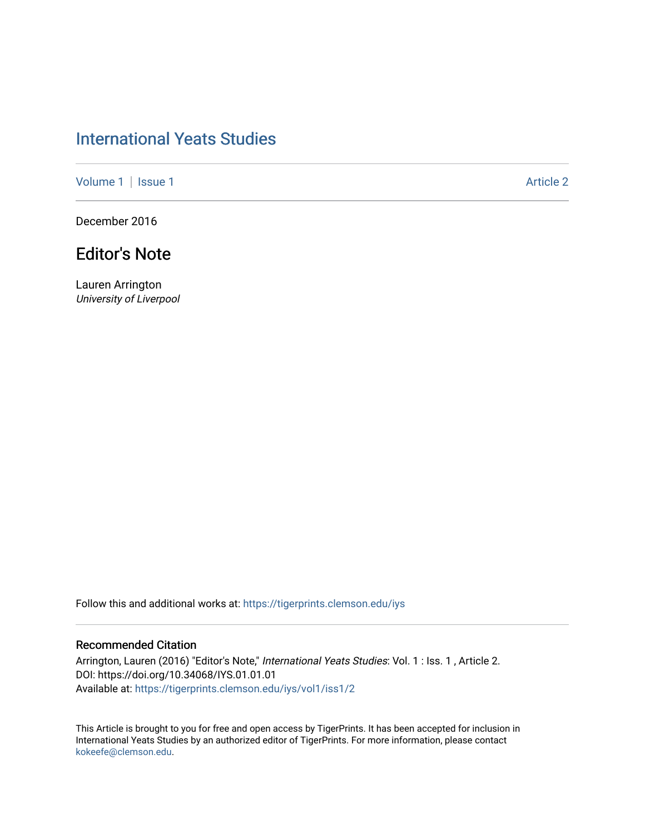## [International Yeats Studies](https://tigerprints.clemson.edu/iys)

[Volume 1](https://tigerprints.clemson.edu/iys/vol1) | [Issue 1](https://tigerprints.clemson.edu/iys/vol1/iss1) Article 2

December 2016

## Editor's Note

Lauren Arrington University of Liverpool

Follow this and additional works at: [https://tigerprints.clemson.edu/iys](https://tigerprints.clemson.edu/iys?utm_source=tigerprints.clemson.edu%2Fiys%2Fvol1%2Fiss1%2F2&utm_medium=PDF&utm_campaign=PDFCoverPages) 

## Recommended Citation

Arrington, Lauren (2016) "Editor's Note," International Yeats Studies: Vol. 1 : Iss. 1, Article 2. DOI: https://doi.org/10.34068/IYS.01.01.01 Available at: [https://tigerprints.clemson.edu/iys/vol1/iss1/2](https://tigerprints.clemson.edu/iys/vol1/iss1/2?utm_source=tigerprints.clemson.edu%2Fiys%2Fvol1%2Fiss1%2F2&utm_medium=PDF&utm_campaign=PDFCoverPages) 

This Article is brought to you for free and open access by TigerPrints. It has been accepted for inclusion in International Yeats Studies by an authorized editor of TigerPrints. For more information, please contact [kokeefe@clemson.edu](mailto:kokeefe@clemson.edu).